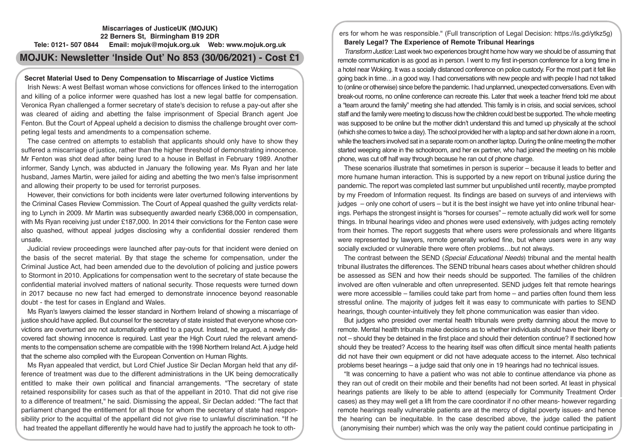# **Miscarriages of JusticeUK (MOJUK) 22 Berners St, Birmingham B19 2DR Tele: 0121- 507 0844 Email: mojuk@mojuk.org.uk Web: www.mojuk.org.uk**

# **MOJUK: Newsletter 'Inside Out' No 853 (30/06/2021) - Cost £1**

# **Secret Material Used to Deny Compensation to Miscarriage of Justice Victims**

Irish News: A west Belfast woman whose convictions for offences linked to the interrogation and killing of a police informer were quashed has lost a new legal battle for compensation. Veronica Ryan challenged a former secretary of state's decision to refuse a pay-out after she was cleared of aiding and abetting the false imprisonment of Special Branch agent Joe Fenton. But the Court of Appeal upheld a decision to dismiss the challenge brought over competing legal tests and amendments to a compensation scheme.

The case centred on attempts to establish that applicants should only have to show they suffered a miscarriage of justice, rather than the higher threshold of demonstrating innocence. Mr Fenton was shot dead after being lured to a house in Belfast in February 1989. Another informer, Sandy Lynch, was abducted in January the following year. Ms Ryan and her late husband, James Martin, were jailed for aiding and abetting the two men's false imprisonment and allowing their property to be used for terrorist purposes.

However, their convictions for both incidents were later overturned following interventions by the Criminal Cases Review Commission. The Court of Appeal quashed the guilty verdicts relating to Lynch in 2009. Mr Martin was subsequently awarded nearly £368,000 in compensation, with Ms Ryan receiving just under £187,000. In 2014 their convictions for the Fenton case were also quashed, without appeal judges disclosing why a confidential dossier rendered them unsafe.

Judicial review proceedings were launched after pay-outs for that incident were denied on the basis of the secret material. By that stage the scheme for compensation, under the Criminal Justice Act, had been amended due to the devolution of policing and justice powers to Stormont in 2010. Applications for compensation went to the secretary of state because the confidential material involved matters of national security. Those requests were turned down in 2017 because no new fact had emerged to demonstrate innocence beyond reasonable doubt - the test for cases in England and Wales.

Ms Ryan's lawyers claimed the lesser standard in Northern Ireland of showing a miscarriage of justice should have applied. But counsel for the secretary of state insisted that everyone whose convictions are overturned are not automatically entitled to a payout. Instead, he argued, a newly discovered fact showing innocence is required. Last year the High Court ruled the relevant amendments to the compensation scheme are compatible with the 1998 Northern Ireland Act. A judge held that the scheme also complied with the European Convention on Human Rights.

Ms Ryan appealed that verdict, but Lord Chief Justice Sir Declan Morgan held that any difference of treatment was due to the different administrations in the UK being democratically entitled to make their own political and financial arrangements. "The secretary of state retained responsibility for cases such as that of the appellant in 2010. That did not give rise to a difference of treatment," he said. Dismissing the appeal, Sir Declan added: "The fact that parliament changed the entitlement for all those for whom the secretary of state had responsibility prior to the acquittal of the appellant did not give rise to unlawful discrimination. "If he had treated the appellant differently he would have had to justify the approach he took to others for whom he was responsible." (Full transcription of Legal Decision: https://is.gd/ytkz5g) **Barely Legal? The Experience of Remote Tribunal Hearings** 

*Transform Justice:* Last week two experiences brought home how wary we should be of assuming that remote communication is as good as in person. I went to my first in-person conference for a long time in a hotel near Woking. It was a socially distanced conference on police custody. For the most part it felt like going back in time…in a good way. I had conversations with new people and with people I had not talked to (online or otherwise) since before the pandemic. I had unplanned, unexpected conversations. Even with break-out rooms, no online conference can recreate this. Later that week a teacher friend told me about a "team around the family" meeting she had attended. This family is in crisis, and social services, school staff and the family were meeting to discuss how the children could best be supported. The whole meeting was supposed to be online but the mother didn't understand this and turned up physically at the school (which she comes to twice a day). The school provided her with a laptop and sat her down alone in a room, while the teachers involved sat in a separate room on another laptop. During the online meeting the mother started weeping alone in the schoolroom, and her ex partner, who had joined the meeting on his mobile phone, was cut off half way through because he ran out of phone charge.

These scenarios illustrate that sometimes in person is superior – because it leads to better and more humane human interaction. This is supported by a new report on tribunal justice during the pandemic. The report was completed last summer but unpublished until recently, maybe prompted by my Freedom of Information request. Its findings are based on surveys of and interviews with judges – only one cohort of users – but it is the best insight we have yet into online tribunal hearings. Perhaps the strongest insight is "horses for courses" – remote actually did work well for some things. In tribunal hearings video and phones were used extensively, with judges acting remotely from their homes. The report suggests that where users were professionals and where litigants were represented by lawyers, remote generally worked fine, but where users were in any way socially excluded or vulnerable there were often problems…but not always.

The contrast between the SEND (*Special Educational Needs*) tribunal and the mental health tribunal illustrates the differences. The SEND tribunal hears cases about whether children should be assessed as SEN and how their needs should be supported. The families of the children involved are often vulnerable and often unrepresented. SEND judges felt that remote hearings were more accessible – families could take part from home – and parties often found them less stressful online. The majority of judges felt it was easy to communicate with parties to SEND hearings, though counter-intuitively they felt phone communication was easier than video.

But judges who presided over mental health tribunals were pretty damning about the move to remote. Mental health tribunals make decisions as to whether individuals should have their liberty or not – should they be detained in the first place and should their detention continue? If sectioned how should they be treated? Access to the hearing itself was often difficult since mental health patients did not have their own equipment or did not have adequate access to the internet. Also technical problems beset hearings – a judge said that only one in 19 hearings had no technical issues.

"It was concerning to have a patient who was not able to continue attendance via phone as they ran out of credit on their mobile and their benefits had not been sorted. At least in physical hearings patients are likely to be able to attend (especially for Community Treatment Order cases) as they may well get a lift from the care coordinator if no other means- however regarding remote hearings really vulnerable patients are at the mercy of digital poverty issues- and hence the hearing can be inequitable. In the case described above, the judge called the patient (anonymising their number) which was the only way the patient could continue participating in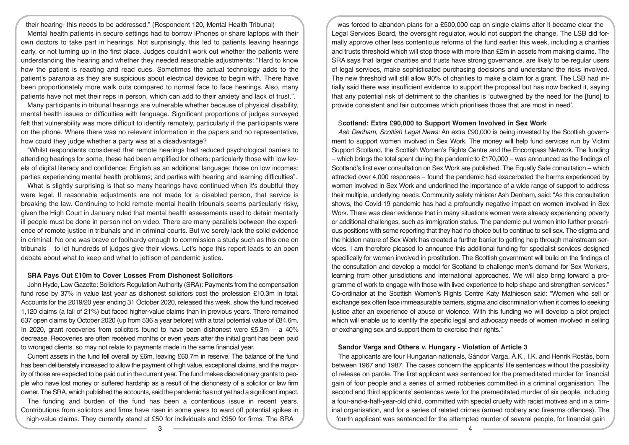their hearing- this needs to be addressed." (Respondent 120, Mental Health Tribunal) Mental health patients in secure settings had to borrow iPhones or share laptops with their own doctors to take part in hearings. Not surprisingly, this led to patients leaving hearings early, or not turning up in the first place. Judges couldn't work out whether the patients were understanding the hearing and whether they needed reasonable adjustments: "Hard to know how the patient is reacting and read cues. Sometimes the actual technology adds to the patient's paranoia as they are suspicious about electrical devices to begin with. There have been proportionately more walk outs compared to normal face to face hearings. Also, many patients have not met their reps in person, which can add to their anxiety and lack of trust.".

Many participants in tribunal hearings are vulnerable whether because of physical disability, mental health issues or difficulties with language. Significant proportions of judges surveyed felt that vulnerability was more difficult to identify remotely, particularly if the participants were on the phone. Where there was no relevant information in the papers and no representative, how could they judge whether a party was at a disadvantage?

"Whilst respondents considered that remote hearings had reduced psychological barriers to attending hearings for some, these had been amplified for others: particularly those with low levels of digital literacy and confidence; English as an additional language; those on low incomes; parties experiencing mental health problems; and parties with hearing and learning difficulties".

What is slightly surprising is that so many hearings have continued when it's doubtful they were legal. If reasonable adjustments are not made for a disabled person, that service is breaking the law. Continuing to hold remote mental health tribunals seems particularly risky, given the High Court in January ruled that mental health assessments used to detain mentally ill people must be done in person not on video. There are many parallels between the experience of remote justice in tribunals and in criminal courts. But we sorely lack the solid evidence in criminal. No one was brave or foolhardy enough to commission a study such as this one on tribunals – to let hundreds of judges give their views. Let's hope this report leads to an open debate about what to keep and what to jettison of pandemic justice.

# **SRA Pays Out £10m to Cover Losses From Dishonest Solicitors**

John Hyde, Law Gazette: Solicitors Regulation Authority (SRA): Payments from the compensation fund rose by 37% in value last year as dishonest solicitors cost the profession £10.3m in total. Accounts for the 2019/20 year ending 31 October 2020, released this week, show the fund received 1,120 claims (a fall of 21%) but faced higher-value claims than in previous years. There remained 637 open claims by October 2020 (up from 536 a year before) with a total potential value of £84.6m. In 2020, grant recoveries from solicitors found to have been dishonest were £5.3m  $-$  a 40% decrease. Recoveries are often received months or even years after the initial grant has been paid to wronged clients, so may not relate to payments made in the same financial year.

Current assets in the fund fell overall by £6m, leaving £60.7m in reserve. The balance of the fund has been deliberately increased to allow the payment of high value, exceptional claims, and the majority of those are expected to be paid out in the current year. The fund makes discretionary grants to people who have lost money or suffered hardship as a result of the dishonesty of a solicitor or law firm owner. The SRA, which published the accounts, said the pandemic has not yet had a significant impact.

The funding and burden of the fund has been a contentious issue in recent years. Contributions from solicitors and firms have risen in some years to ward off potential spikes in high-value claims. They currently stand at £50 for individuals and £950 for firms. The SRA

was forced to abandon plans for a £500,000 cap on single claims after it became clear the Legal Services Board, the oversight regulator, would not support the change. The LSB did formally approve other less contentious reforms of the fund earlier this week, including a charities and trusts threshold which will stop those with more than £2m in assets from making claims. The SRA says that larger charities and trusts have strong governance, are likely to be regular users of legal services, make sophisticated purchasing decisions and understand the risks involved. The new threshold will still allow 90% of charities to make a claim for a grant. The LSB had initially said there was insufficient evidence to support the proposal but has now backed it, saying that any potential risk of detriment to the charities is 'outweighed by the need for the [fund] to provide consistent and fair outcomes which prioritises those that are most in need'.

#### S**cotland: Extra £90,000 to Support Women Involved in Sex Work**

*Ash Denham, Scottish Legal News:* An extra £90,000 is being invested by the Scottish government to support women involved in Sex Work. The money will help fund services run by Victim Support Scotland, the Scottish Women's Rights Centre and the Encompass Network. The funding – which brings the total spent during the pandemic to £170,000 – was announced as the findings of Scotland's first ever consultation on Sex Work are published. The Equally Safe consultation – which attracted over 4,000 responses – found the pandemic had exacerbated the harms experienced by women involved in Sex Work and underlined the importance of a wide range of support to address their multiple, underlying needs. Community safety minister Ash Denham, said: "As this consultation shows, the Covid-19 pandemic has had a profoundly negative impact on women involved in Sex Work. There was clear evidence that in many situations women were already experiencing poverty or additional challenges, such as immigration status. The pandemic put women into further precarious positions with some reporting that they had no choice but to continue to sell sex. The stigma and the hidden nature of Sex Work has created a further barrier to getting help through mainstream services. I am therefore pleased to announce this additional funding for specialist services designed specifically for women involved in prostitution. The Scottish government will build on the findings of the consultation and develop a model for Scotland to challenge men's demand for Sex Workers, learning from other jurisdictions and international approaches. We will also bring forward a programme of work to engage with those with lived experience to help shape and strengthen services." Co-ordinator at the Scottish Women's Rights Centre Katy Mathieson said: "Women who sell or exchange sex often face immeasurable barriers, stigma and discrimination when it comes to seeking justice after an experience of abuse or violence. With this funding we will develop a pilot project which will enable us to identify the specific legal and advocacy needs of women involved in selling or exchanging sex and support them to exercise their rights."

# **Sandor Varga and Others v. Hungary - Violation of Article 3**

The applicants are four Hungarian nationals, Sándor Varga, Á.K., I.K. and Henrik Rostás, born between 1967 and 1987. The cases concern the applicants' life sentences without the possibility of release on parole. The first applicant was sentenced for the premeditated murder for financial gain of four people and a series of armed robberies committed in a criminal organisation. The second and third applicants' sentences were for the premeditated murder of six people, including a four-and-a-half-year-old child, committed with special cruelty with racist motives and in a criminal organisation, and for a series of related crimes (armed robbery and firearms offences). The fourth applicant was sentenced for the attempted murder of several people, for financial gain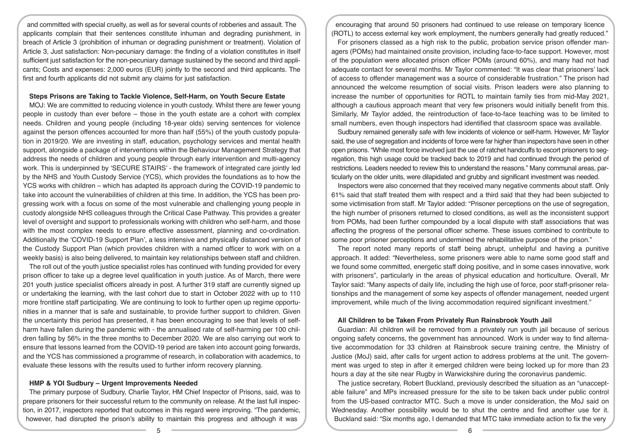and committed with special cruelty, as well as for several counts of robberies and assault. The applicants complain that their sentences constitute inhuman and degrading punishment, in breach of Article 3 (prohibition of inhuman or degrading punishment or treatment). Violation of Article 3, Just satisfaction: Non-pecuniary damage: the finding of a violation constitutes in itself sufficient just satisfaction for the non-pecuniary damage sustained by the second and third applicants; Costs and expenses: 2,000 euros (EUR) jointly to the second and third applicants. The first and fourth applicants did not submit any claims for just satisfaction.

### **Steps Prisons are Taking to Tackle Violence, Self-Harm, on Youth Secure Estate**

MOJ: We are committed to reducing violence in youth custody. Whilst there are fewer young people in custody than ever before – those in the youth estate are a cohort with complex needs. Children and young people (including 18-year olds) serving sentences for violence against the person offences accounted for more than half (55%) of the youth custody population in 2019/20. We are investing in staff, education, psychology services and mental health support, alongside a package of interventions within the Behaviour Management Strategy that address the needs of children and young people through early intervention and multi-agency work. This is underpinned by 'SECURE STAIRS' - the framework of integrated care jointly led by the NHS and Youth Custody Service (YCS), which provides the foundations as to how the YCS works with children – which has adapted its approach during the COVID-19 pandemic to take into account the vulnerabilities of children at this time. In addition, the YCS has been progressing work with a focus on some of the most vulnerable and challenging young people in custody alongside NHS colleagues through the Critical Case Pathway. This provides a greater level of oversight and support to professionals working with children who self-harm, and those with the most complex needs to ensure effective assessment, planning and co-ordination. Additionally the 'COVID-19 Support Plan', a less intensive and physically distanced version of the Custody Support Plan (which provides children with a named officer to work with on a weekly basis) is also being delivered, to maintain key relationships between staff and children.

The roll out of the youth justice specialist roles has continued with funding provided for every prison officer to take up a degree level qualification in youth justice. As of March, there were 201 youth justice specialist officers already in post. A further 319 staff are currently signed up or undertaking the learning, with the last cohort due to start in October 2022 with up to 110 more frontline staff participating. We are continuing to look to further open up regime opportunities in a manner that is safe and sustainable, to provide further support to children. Given the uncertainty this period has presented, it has been encouraging to see that levels of selfharm have fallen during the pandemic with - the annualised rate of self-harming per 100 children falling by 56% in the three months to December 2020. We are also carrying out work to ensure that lessons learned from the COVID-19 period are taken into account going forwards, and the YCS has commissioned a programme of research, in collaboration with academics, to evaluate these lessons with the results used to further inform recovery planning.

# **HMP & YOI Sudbury – Urgent Improvements Needed**

The primary purpose of Sudbury, Charlie Taylor, HM Chief Inspector of Prisons, said, was to prepare prisoners for their successful return to the community on release. At the last full inspection, in 2017, inspectors reported that outcomes in this regard were improving. "The pandemic, however, had disrupted the prison's ability to maintain this progress and although it was

encouraging that around 50 prisoners had continued to use release on temporary licence (ROTL) to access external key work employment, the numbers generally had greatly reduced."

For prisoners classed as a high risk to the public, probation service prison offender managers (POMs) had maintained onsite provision, including face-to-face support. However, most of the population were allocated prison officer POMs (around 60%), and many had not had adequate contact for several months. Mr Taylor commented: "It was clear that prisoners' lack of access to offender management was a source of considerable frustration." The prison had announced the welcome resumption of social visits. Prison leaders were also planning to increase the number of opportunities for ROTL to maintain family ties from mid-May 2021, although a cautious approach meant that very few prisoners would initially benefit from this. Similarly, Mr Taylor added, the reintroduction of face-to-face teaching was to be limited to small numbers, even though inspectors had identified that classroom space was available.

Sudbury remained generally safe with few incidents of violence or self-harm. However, Mr Taylor said, the use of segregation and incidents of force were far higher than inspectors have seen in other open prisons. "While most force involved just the use of ratchet handcuffs to escort prisoners to segregation, this high usage could be tracked back to 2019 and had continued through the period of restrictions. Leaders needed to review this to understand the reasons." Many communal areas, particularly on the older units, were dilapidated and grubby and significant investment was needed.

Inspectors were also concerned that they received many negative comments about staff. Only 61% said that staff treated them with respect and a third said that they had been subjected to some victimisation from staff. Mr Taylor added: "Prisoner perceptions on the use of segregation, the high number of prisoners returned to closed conditions, as well as the inconsistent support from POMs, had been further compounded by a local dispute with staff associations that was affecting the progress of the personal officer scheme. These issues combined to contribute to some poor prisoner perceptions and undermined the rehabilitative purpose of the prison."

The report noted many reports of staff being abrupt, unhelpful and having a punitive approach. It added: "Nevertheless, some prisoners were able to name some good staff and we found some committed, energetic staff doing positive, and in some cases innovative, work with prisoners", particularly in the areas of physical education and horticulture. Overall, Mr Taylor said: "Many aspects of daily life, including the high use of force, poor staff-prisoner relationships and the management of some key aspects of offender management, needed urgent improvement, while much of the living accommodation required significant investment."

#### **All Children to be Taken From Privately Run Rainsbrook Youth Jail**

Guardian: All children will be removed from a privately run youth jail because of serious ongoing safety concerns, the government has announced. Work is under way to find alternative accommodation for 33 children at Rainsbrook secure training centre, the Ministry of Justice (MoJ) said, after calls for urgent action to address problems at the unit. The government was urged to step in after it emerged children were being locked up for more than 23 hours a day at the site near Rugby in Warwickshire during the coronavirus pandemic.

The justice secretary, Robert Buckland, previously described the situation as an "unacceptable failure" and MPs increased pressure for the site to be taken back under public control from the US-based contractor MTC. Such a move is under consideration, the MoJ said on Wednesday. Another possibility would be to shut the centre and find another use for it. Buckland said: "Six months ago, I demanded that MTC take immediate action to fix the very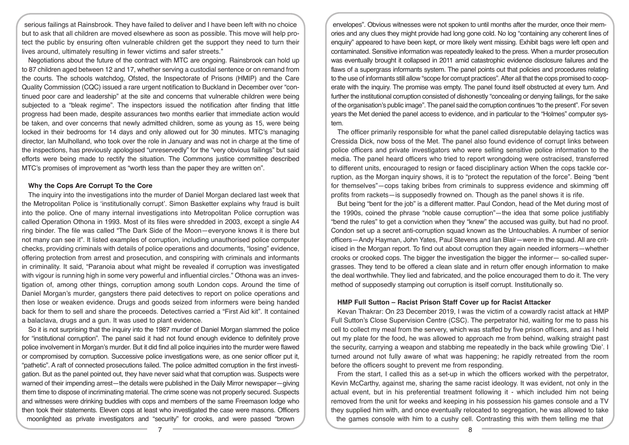serious failings at Rainsbrook. They have failed to deliver and I have been left with no choice but to ask that all children are moved elsewhere as soon as possible. This move will help protect the public by ensuring often vulnerable children get the support they need to turn their lives around, ultimately resulting in fewer victims and safer streets."

Negotiations about the future of the contract with MTC are ongoing. Rainsbrook can hold up to 87 children aged between 12 and 17, whether serving a custodial sentence or on remand from the courts. The schools watchdog, Ofsted, the Inspectorate of Prisons (HMIP) and the Care Quality Commission (CQC) issued a rare urgent notification to Buckland in December over "continued poor care and leadership" at the site and concerns that vulnerable children were being subjected to a "bleak regime". The inspectors issued the notification after finding that little progress had been made, despite assurances two months earlier that immediate action would be taken, and over concerns that newly admitted children, some as young as 15, were being locked in their bedrooms for 14 days and only allowed out for 30 minutes. MTC's managing director, Ian Mulholland, who took over the role in January and was not in charge at the time of the inspections, has previously apologised "unreservedly" for the "very obvious failings" but said efforts were being made to rectify the situation. The Commons justice committee described MTC's promises of improvement as "worth less than the paper they are written on".

# **Why the Cops Are Corrupt To the Core**

The inquiry into the investigations into the murder of Daniel Morgan declared last week that the Metropolitan Police is 'institutionally corrupt'. Simon Basketter explains why fraud is built into the police. One of many internal investigations into Metropolitan Police corruption was called Operation Othona in 1993. Most of its files were shredded in 2003, except a single A4 ring binder. The file was called "The Dark Side of the Moon—everyone knows it is there but not many can see it". It listed examples of corruption, including unauthorised police computer checks, providing criminals with details of police operations and documents, "losing" evidence, offering protection from arrest and prosecution, and conspiring with criminals and informants in criminality. It said, "Paranoia about what might be revealed if corruption was investigated with vigour is running high in some very powerful and influential circles." Othona was an investigation of, among other things, corruption among south London cops. Around the time of Daniel Morgan's murder, gangsters there paid detectives to report on police operations and then lose or weaken evidence. Drugs and goods seized from informers were being handed back for them to sell and share the proceeds. Detectives carried a "First Aid kit". It contained a balaclava, drugs and a gun. It was used to plant evidence.

So it is not surprising that the inquiry into the 1987 murder of Daniel Morgan slammed the police for "institutional corruption". The panel said it had not found enough evidence to definitely prove police involvement in Morgan's murder. But it did find all police inquiries into the murder were flawed or compromised by corruption. Successive police investigations were, as one senior officer put it, "pathetic". A raft of connected prosecutions failed. The police admitted corruption in the first investigation. But as the panel pointed out, they have never said what that corruption was. Suspects were warned of their impending arrest—the details were published in the Daily Mirror newspaper—giving them time to dispose of incriminating material. The crime scene was not properly secured. Suspects and witnesses were drinking buddies with cops and members of the same Freemason lodge who then took their statements. Eleven cops at least who investigated the case were masons. Officers moonlighted as private investigators and "security" for crooks, and were passed "brown

envelopes". Obvious witnesses were not spoken to until months after the murder, once their memories and any clues they might provide had long gone cold. No log "containing any coherent lines of enquiry" appeared to have been kept, or more likely went missing. Exhibit bags were left open and contaminated. Sensitive information was repeatedly leaked to the press. When a murder prosecution was eventually brought it collapsed in 2011 amid catastrophic evidence disclosure failures and the flaws of a supergrass informants system. The panel points out that policies and procedures relating to the use of informants still allow "scope for corrupt practices". After all that the cops promised to cooperate with the inquiry. The promise was empty. The panel found itself obstructed at every turn. And further the institutional corruption consisted of dishonestly "concealing or denying failings, for the sake of the organisation's public image". The panel said the corruption continues "to the present". For seven years the Met denied the panel access to evidence, and in particular to the "Holmes" computer system.

The officer primarily responsible for what the panel called disreputable delaying tactics was Cressida Dick, now boss of the Met. The panel also found evidence of corrupt links between police officers and private investigators who were selling sensitive police information to the media. The panel heard officers who tried to report wrongdoing were ostracised, transferred to different units, encouraged to resign or faced disciplinary action When the cops tackle corruption, as the Morgan inquiry shows, it is to "protect the reputation of the force". Being "bent for themselves"—cops taking bribes from criminals to suppress evidence and skimming off profits from rackets—is supposedly frowned on. Though as the panel shows it is rife.

But being "bent for the job" is a different matter. Paul Condon, head of the Met during most of the 1990s, coined the phrase "noble cause corruption"—the idea that some police justifiably "bend the rules" to get a conviction when they "knew" the accused was guilty, but had no proof. Condon set up a secret anti-corruption squad known as the Untouchables. A number of senior officers—Andy Hayman, John Yates, Paul Stevens and Ian Blair—were in the squad. All are criticised in the Morgan report. To find out about corruption they again needed informers—whether crooks or crooked cops. The bigger the investigation the bigger the informer— so-called supergrasses. They tend to be offered a clean slate and in return offer enough information to make the deal worthwhile. They lied and fabricated, and the police encouraged them to do it. The very method of supposedly stamping out corruption is itself corrupt. Institutionally so.

## **HMP Full Sutton – Racist Prison Staff Cover up for Racist Attacker**

Kevan Thakrar: On 23 December 2019, I was the victim of a cowardly racist attack at HMP Full Sutton's Close Supervision Centre (CSC). The perpetrator hid, waiting for me to pass his cell to collect my meal from the servery, which was staffed by five prison officers, and as I held out my plate for the food, he was allowed to approach me from behind, walking straight past the security, carrying a weapon and stabbing me repeatedly in the back while growling 'Die'. I turned around not fully aware of what was happening; he rapidly retreated from the room before the officers sought to prevent me from responding.

From the start, I called this as a set-up in which the officers worked with the perpetrator, Kevin McCarthy, against me, sharing the same racist ideology. It was evident, not only in the actual event, but in his preferential treatment following it - which included him not being removed from the unit for weeks and keeping in his possession his games console and a TV they supplied him with, and once eventually relocated to segregation, he was allowed to take the games console with him to a cushy cell. Contrasting this with them telling me that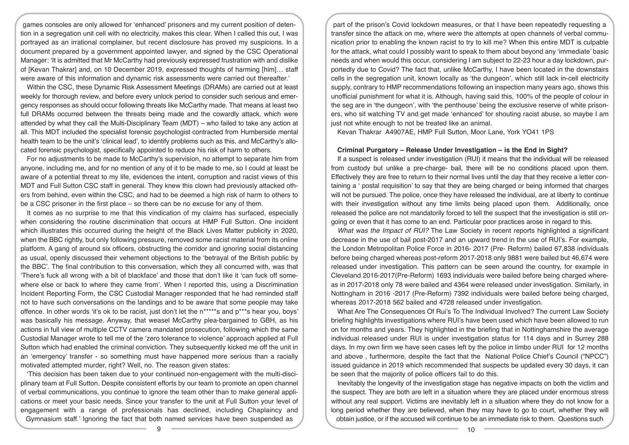games consoles are only allowed for 'enhanced' prisoners and my current position of detention in a segregation unit cell with no electricity, makes this clear. When I called this out, I was portrayed as an irrational complainer, but recent disclosure has proved my suspicions. In a document prepared by a government appointed lawyer, and signed by the CSC Operational Manager: 'It is admitted that Mr McCarthy had previously expressed frustration with and dislike of [Kevan Thakrar] and, on 10 December 2019, expressed thoughts of harming [him]… staff were aware of this information and dynamic risk assessments were carried out thereafter.'

Within the CSC, these Dynamic Risk Assessment Meetings (DRAMs) are carried out at least weekly for thorough review, and before every unlock period to consider such serious and emergency responses as should occur following threats like McCarthy made. That means at least two full DRAMs occurred between the threats being made and the cowardly attack, which were attended by what they call the Multi-Disciplinary Team (MDT) – who failed to take any action at all. This MDT included the specialist forensic psychologist contracted from Humberside mental health team to be the unit's 'clinical lead', to identify problems such as this, and McCarthy's allocated forensic psychologist, specifically appointed to reduce his risk of harm to others.

For no adjustments to be made to McCarthy's supervision, no attempt to separate him from anyone, including me, and for no mention of any of it to be made to me, so I could at least be aware of a potential threat to my life, evidences the intent, corruption and racist views of this MDT and Full Sutton CSC staff in general. They knew this clown had previously attacked others from behind, even within the CSC, and had to be deemed a high risk of harm to others to be a CSC prisoner in the first place – so there can be no excuse for any of them.

It comes as no surprise to me that this vindication of my claims has surfaced, especially when considering the routine discrimination that occurs at HMP Full Sutton. One incident which illustrates this occurred during the height of the Black Lives Matter publicity in 2020, when the BBC rightly, but only following pressure, removed some racist material from its online platform. A gang of around six officers, obstructing the corridor and ignoring social distancing as usual, openly discussed their vehement objections to the 'betrayal of the British public by the BBC'. The final contribution to this conversation, which they all concurred with, was that 'There's fuck all wrong with a bit of blackface' and those that don't like it 'can fuck off somewhere else or back to where they came from'. When I reported this, using a Discrimination Incident Reporting Form, the CSC Custodial Manager responded that he had reminded staff not to have such conversations on the landings and to be aware that some people may take offence. In other words 'it's ok to be racist, just don't let the n\*\*\*\*\*s and p\*\*\*s hear you, boys' was basically his message. Anyway, that weasel McCarthy plea-bargained to GBH, as his actions in full view of multiple CCTV camera mandated prosecution, following which the same Custodial Manager wrote to tell me of the 'zero tolerance to violence' approach applied at Full Sutton which had enabled the criminal conviction. They subsequently kicked me off the unit in an 'emergency' transfer - so something must have happened more serious than a racially motivated attempted murder, right? Well, no. The reason given states:

'This decision has been taken due to your continued non-engagement with the multi-disciplinary team at Full Sutton. Despite consistent efforts by our team to promote an open channel of verbal communications, you continue to ignore the team other than to make general applications or meet your basic needs. Since your transfer to the unit at Full Sutton your level of engagement with a range of professionals has declined, including Chaplaincy and Gymnasium staff.' Ignoring the fact that both named services have been suspended as

part of the prison's Covid lockdown measures, or that I have been repeatedly requesting a transfer since the attack on me, where were the attempts at open channels of verbal communication prior to enabling the known racist to try to kill me? When this entire MDT is culpable for the attack, what could I possibly want to speak to them about beyond any 'immediate' basic needs and when would this occur, considering I am subject to 22-23 hour a day lockdown, purportedly due to Covid? The fact that, unlike McCarthy, I have been located in the downstairs cells in the segregation unit, known locally as 'the dungeon', which still lack in-cell electricity supply, contrary to HMP recommendations following an inspection many years ago, shows this unofficial punishment for what it is. Although, having said this, 100% of the people of colour in the seg are in 'the dungeon', with 'the penthouse' being the exclusive reserve of white prisoners, who sit watching TV and get made 'enhanced' for shouting racist abuse, so maybe I am just not white enough to not be treated like an animal.

Kevan Thakrar A4907AE, HMP Full Sutton, Moor Lane, York YO41 1PS

#### **Criminal Purgatory – Release Under Investigation – is the End in Sight?**

If a suspect is released under investigation (RUI) it means that the individual will be released from custody but unlike a pre-charge- bail, there will be no conditions placed upon them. Effectively they are free to return to their normal lives until the day that they receive a letter containing a ' postal requisition' to say that they are being charged or being informed that charges will not be pursued. The police, once they have released the individual, are at liberty to continue with their investigation without any time limits being placed upon them. Additionally, once released the police are not mandatorily forced to tell the suspect that the investigation is still ongoing or even that it has come to an end. Particular poor practices arose in regard to this.

*What was the Impact of RUI?* The Law Society in recent reports highlighted a significant decrease in the use of bail post-2017 and an upward trend in the use of RUI's. For example, the London Metropolitan Police Force in 2016- 2017 (Pre- Reform) bailed 67,838 individuals before being charged whereas post-reform 2017-2018 only 9881 were bailed but 46,674 were released under investigation. This pattern can be seen around the country, for example in Cleveland 2016-2017(Pre-Reform) 1693 individuals were bailed before being charged whereas in 2017-2018 only 78 were bailed and 4364 were released under investigation. Similarly, in Nottingham in 2016 -2017 (Pre-Reform) 7392 individuals were bailed before being charged, whereas 2017-2018 562 bailed and 4728 released under investigation.

What Are The Consequences Of Rui's To The Individual Involved? The current Law Society briefing highlights investigations where RUI's have been used which have been allowed to run on for months and years. They highlighted in the briefing that in Nottinghamshire the average individual released under RUI is under investigation status for 114 days and in Surrey 288 days. In my own firm we have seen cases left by the police in limbo under RUI for 12 months and above , furthermore, despite the fact that the National Police Chief's Council ("NPCC") issued guidance in 2019 which recommended that suspects be updated every 30 days, it can be seen that the majority of police officers fail to do this.

Inevitably the longevity of the investigation stage has negative impacts on both the victim and the suspect. They are both are left in a situation where they are placed under enormous stress without any real support. Victims are inevitably left in a situation where they do not know for a long period whether they are believed, when they may have to go to court, whether they will obtain justice, or if the accused will continue to be an immediate risk to them. Questions such